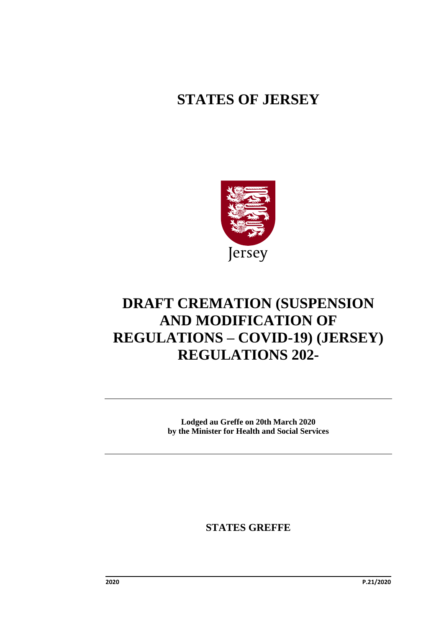## **STATES OF JERSEY**



# **DRAFT CREMATION (SUSPENSION AND MODIFICATION OF REGULATIONS – COVID-19) (JERSEY) REGULATIONS 202-**

**Lodged au Greffe on 20th March 2020 by the Minister for Health and Social Services**

**STATES GREFFE**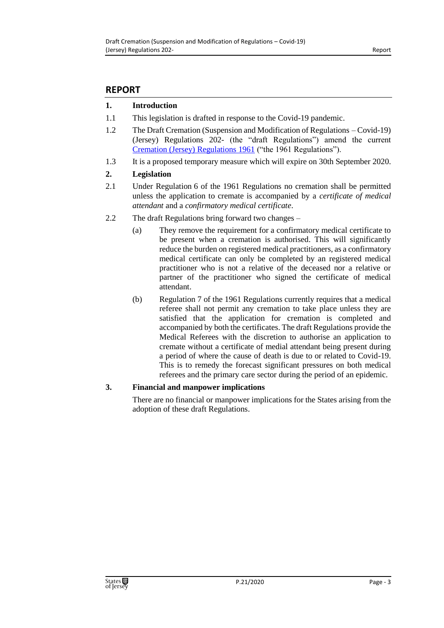### **REPORT**

### **1. Introduction**

- 1.1 This legislation is drafted in response to the Covid-19 pandemic.
- 1.2 The Draft Cremation (Suspension and Modification of Regulations Covid-19) (Jersey) Regulations 202- (the "draft Regulations") amend the current [Cremation \(Jersey\) Regulations 1961](https://www.jerseylaw.je/laws/revised/Pages/20.075.60.aspx) ("the 1961 Regulations").
- 1.3 It is a proposed temporary measure which will expire on 30th September 2020.

### **2. Legislation**

- 2.1 Under Regulation 6 of the 1961 Regulations no cremation shall be permitted unless the application to cremate is accompanied by a *certificate of medical attendant* and a *confirmatory medical certificate*.
- 2.2 The draft Regulations bring forward two changes
	- (a) They remove the requirement for a confirmatory medical certificate to be present when a cremation is authorised. This will significantly reduce the burden on registered medical practitioners, as a confirmatory medical certificate can only be completed by an registered medical practitioner who is not a relative of the deceased nor a relative or partner of the practitioner who signed the certificate of medical attendant.
	- (b) Regulation 7 of the 1961 Regulations currently requires that a medical referee shall not permit any cremation to take place unless they are satisfied that the application for cremation is completed and accompanied by both the certificates. The draft Regulations provide the Medical Referees with the discretion to authorise an application to cremate without a certificate of medial attendant being present during a period of where the cause of death is due to or related to Covid-19. This is to remedy the forecast significant pressures on both medical referees and the primary care sector during the period of an epidemic.

### **3. Financial and manpower implications**

There are no financial or manpower implications for the States arising from the adoption of these draft Regulations.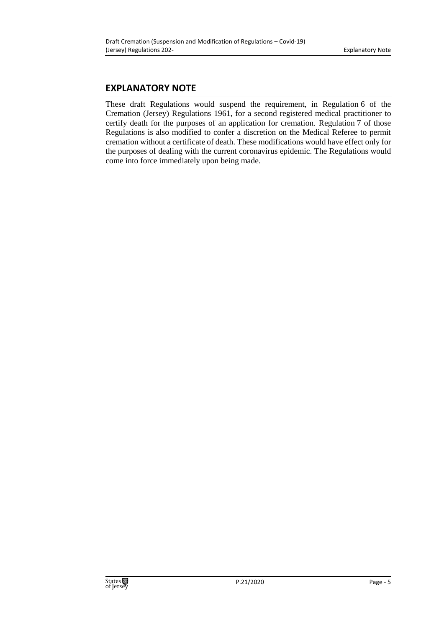### **EXPLANATORY NOTE**

These draft Regulations would suspend the requirement, in Regulation 6 of the Cremation (Jersey) Regulations 1961, for a second registered medical practitioner to certify death for the purposes of an application for cremation. Regulation 7 of those Regulations is also modified to confer a discretion on the Medical Referee to permit cremation without a certificate of death. These modifications would have effect only for the purposes of dealing with the current coronavirus epidemic. The Regulations would come into force immediately upon being made.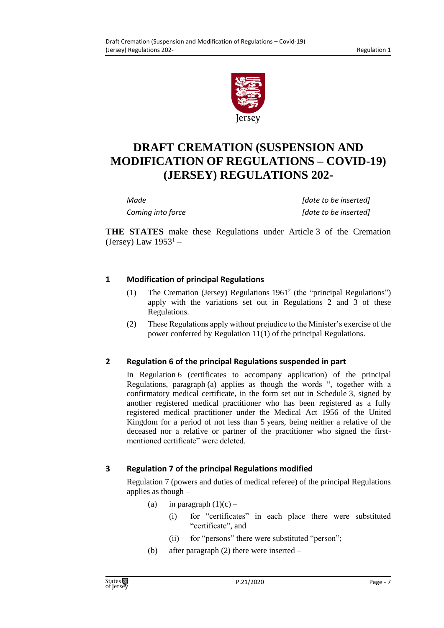

## **DRAFT CREMATION (SUSPENSION AND MODIFICATION OF REGULATIONS – COVID-19) (JERSEY) REGULATIONS 202-**

*Made [date to be inserted] Coming into force [date to be inserted]*

**THE STATES** make these Regulations under Article 3 of the Cremation (Jersey) Law  $1953^1$  –

### **1 Modification of principal Regulations**

- (1) The Cremation (Jersey) Regulations 1961<sup>2</sup> (the "principal Regulations") apply with the variations set out in Regulations 2 and 3 of these Regulations.
- (2) These Regulations apply without prejudice to the Minister's exercise of the power conferred by Regulation 11(1) of the principal Regulations.

### **2 Regulation 6 of the principal Regulations suspended in part**

In Regulation 6 (certificates to accompany application) of the principal Regulations, paragraph (a) applies as though the words ", together with a confirmatory medical certificate, in the form set out in Schedule 3, signed by another registered medical practitioner who has been registered as a fully registered medical practitioner under the Medical Act 1956 of the United Kingdom for a period of not less than 5 years, being neither a relative of the deceased nor a relative or partner of the practitioner who signed the firstmentioned certificate" were deleted.

### **3 Regulation 7 of the principal Regulations modified**

Regulation 7 (powers and duties of medical referee) of the principal Regulations applies as though –

- (a) in paragraph  $(1)(c)$ 
	- (i) for "certificates" in each place there were substituted "certificate", and
	- (ii) for "persons" there were substituted "person";
- (b) after paragraph (2) there were inserted –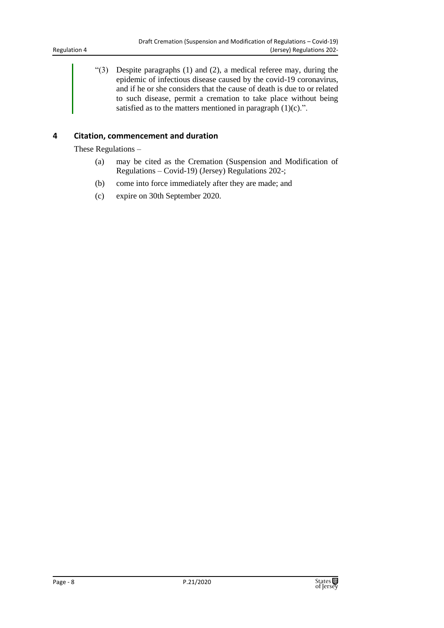"(3) Despite paragraphs (1) and (2), a medical referee may, during the epidemic of infectious disease caused by the covid-19 coronavirus, and if he or she considers that the cause of death is due to or related to such disease, permit a cremation to take place without being satisfied as to the matters mentioned in paragraph (1)(c).".

### **4 Citation, commencement and duration**

These Regulations –

- (a) may be cited as the Cremation (Suspension and Modification of Regulations – Covid-19) (Jersey) Regulations 202-;
- (b) come into force immediately after they are made; and
- (c) expire on 30th September 2020.